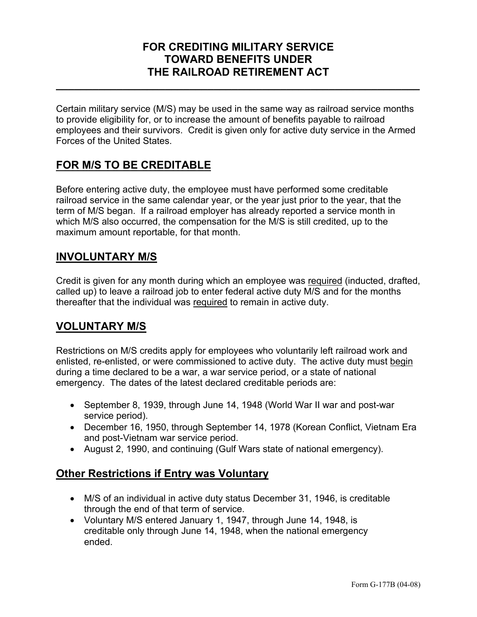### **FOR CREDITING MILITARY SERVICE TOWARD BENEFITS UNDER THE RAILROAD RETIREMENT ACT**

**\_\_\_\_\_\_\_\_\_\_\_\_\_\_\_\_\_\_\_\_\_\_\_\_\_\_\_\_\_\_\_\_\_\_\_\_\_\_\_\_\_\_\_\_\_\_\_\_\_\_\_\_\_\_\_\_\_\_\_\_** 

Certain military service (M/S) may be used in the same way as railroad service months to provide eligibility for, or to increase the amount of benefits payable to railroad employees and their survivors. Credit is given only for active duty service in the Armed Forces of the United States.

### **FOR M/S TO BE CREDITABLE**

Before entering active duty, the employee must have performed some creditable railroad service in the same calendar year, or the year just prior to the year, that the term of M/S began. If a railroad employer has already reported a service month in which M/S also occurred, the compensation for the M/S is still credited, up to the maximum amount reportable, for that month.

### **INVOLUNTARY M/S**

Credit is given for any month during which an employee was required (inducted, drafted, called up) to leave a railroad job to enter federal active duty M/S and for the months thereafter that the individual was required to remain in active duty.

# **VOLUNTARY M/S**

Restrictions on M/S credits apply for employees who voluntarily left railroad work and enlisted, re-enlisted, or were commissioned to active duty. The active duty must begin during a time declared to be a war, a war service period, or a state of national emergency. The dates of the latest declared creditable periods are:

- September 8, 1939, through June 14, 1948 (World War II war and post-war service period).
- December 16, 1950, through September 14, 1978 (Korean Conflict, Vietnam Era and post-Vietnam war service period.
- August 2, 1990, and continuing (Gulf Wars state of national emergency).

### **Other Restrictions if Entry was Voluntary**

- M/S of an individual in active duty status December 31, 1946, is creditable through the end of that term of service.
- Voluntary M/S entered January 1, 1947, through June 14, 1948, is creditable only through June 14, 1948, when the national emergency ended.